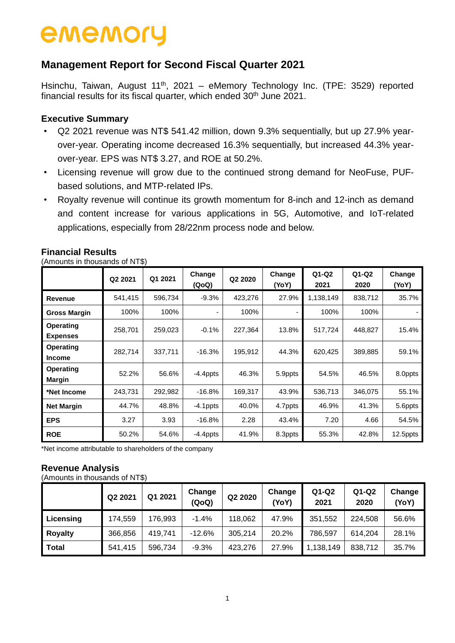### **Management Report for Second Fiscal Quarter 2021**

Hsinchu, Taiwan, August 11<sup>th</sup>, 2021 - eMemory Technology Inc. (TPE: 3529) reported financial results for its fiscal quarter, which ended 30<sup>th</sup> June 2021.

#### **Executive Summary**

- Q2 2021 revenue was NT\$ 541.42 million, down 9.3% sequentially, but up 27.9% yearover-year. Operating income decreased 16.3% sequentially, but increased 44.3% yearover-year. EPS was NT\$ 3.27, and ROE at 50.2%.
- Licensing revenue will grow due to the continued strong demand for NeoFuse, PUFbased solutions, and MTP-related IPs.
- Royalty revenue will continue its growth momentum for 8-inch and 12-inch as demand and content increase for various applications in 5G, Automotive, and IoT-related applications, especially from 28/22nm process node and below.

|                              | Q2 2021 | Q1 2021 | Change<br>(QoQ) | Q2 2020 | Change<br>(YoY) | $Q1-Q2$<br>2021 | $Q1-Q2$<br>2020 | Change<br>(YoY) |
|------------------------------|---------|---------|-----------------|---------|-----------------|-----------------|-----------------|-----------------|
| Revenue                      | 541,415 | 596,734 | $-9.3%$         | 423,276 | 27.9%           | 1,138,149       | 838,712         | 35.7%           |
| <b>Gross Margin</b>          | 100%    | 100%    |                 | 100%    |                 | 100%            | 100%            |                 |
| Operating<br><b>Expenses</b> | 258,701 | 259,023 | $-0.1%$         | 227,364 | 13.8%           | 517,724         | 448,827         | 15.4%           |
| Operating<br><b>Income</b>   | 282,714 | 337,711 | $-16.3%$        | 195,912 | 44.3%           | 620,425         | 389,885         | 59.1%           |
| Operating<br><b>Margin</b>   | 52.2%   | 56.6%   | $-4.4$ ppts     | 46.3%   | 5.9ppts         | 54.5%           | 46.5%           | 8.0ppts         |
| *Net Income                  | 243,731 | 292,982 | $-16.8%$        | 169,317 | 43.9%           | 536,713         | 346,075         | 55.1%           |
| <b>Net Margin</b>            | 44.7%   | 48.8%   | $-4.1$ ppts     | 40.0%   | 4.7ppts         | 46.9%           | 41.3%           | 5.6ppts         |
| <b>EPS</b>                   | 3.27    | 3.93    | $-16.8%$        | 2.28    | 43.4%           | 7.20            | 4.66            | 54.5%           |
| <b>ROE</b>                   | 50.2%   | 54.6%   | $-4.4$ ppts     | 41.9%   | 8.3ppts         | 55.3%           | 42.8%           | 12.5ppts        |

#### **Financial Results**

(Amounts in thousands of NT\$)

\*Net income attributable to shareholders of the company

#### **Revenue Analysis**

(Amounts in thousands of NT\$)

|                | Q2 2021 | Q1 2021 | Change<br>(QoQ) | Q2 2020 | Change<br>(YoY) | Q1-Q2<br>2021 | $Q1-Q2$<br>2020 | Change<br>(YoY) |
|----------------|---------|---------|-----------------|---------|-----------------|---------------|-----------------|-----------------|
| Licensing      | 174,559 | 176.993 | $-1.4%$         | 118.062 | 47.9%           | 351,552       | 224,508         | 56.6%           |
| <b>Royalty</b> | 366,856 | 419.741 | $-12.6%$        | 305,214 | 20.2%           | 786,597       | 614,204         | 28.1%           |
| <b>Total</b>   | 541,415 | 596,734 | $-9.3%$         | 423,276 | 27.9%           | 1,138,149     | 838,712         | 35.7%           |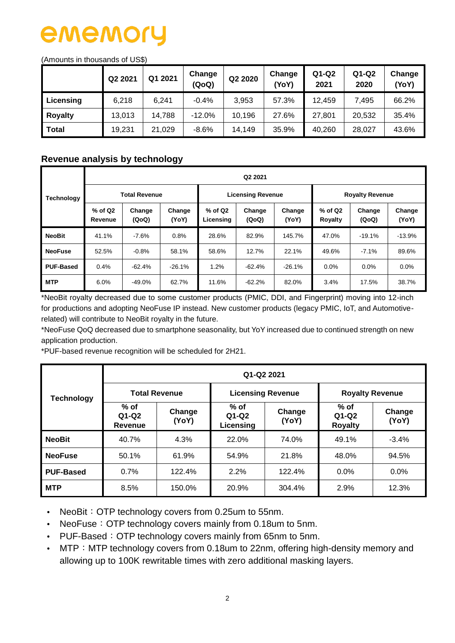#### (Amounts in thousands of US\$)

|                | Q2 2021 | Q1 2021 | Change<br>(QoQ) | Q2 2020 | Change<br>YoY) | $Q1-Q2$<br>2021 | Q1-Q2<br>2020 | Change<br>(YoY) |
|----------------|---------|---------|-----------------|---------|----------------|-----------------|---------------|-----------------|
| Licensing      | 6.218   | 6.241   | $-0.4%$         | 3.953   | 57.3%          | 12,459          | 7.495         | 66.2%           |
| <b>Royalty</b> | 13,013  | 14,788  | $-12.0%$        | 10.196  | 27.6%          | 27,801          | 20,532        | 35.4%           |
| <b>Total</b>   | 19,231  | 21,029  | $-8.6%$         | 14,149  | 35.9%          | 40,260          | 28,027        | 43.6%           |

#### **Revenue analysis by technology**

|                   |                      | Q2 2021              |                 |                                                  |                          |          |                        |                 |                 |  |  |  |  |  |  |
|-------------------|----------------------|----------------------|-----------------|--------------------------------------------------|--------------------------|----------|------------------------|-----------------|-----------------|--|--|--|--|--|--|
| <b>Technology</b> |                      | <b>Total Revenue</b> |                 |                                                  | <b>Licensing Revenue</b> |          | <b>Royalty Revenue</b> |                 |                 |  |  |  |  |  |  |
|                   | $%$ of Q2<br>Revenue | Change<br>(QoQ)      | Change<br>(YoY) | % of Q2<br>Change<br>(QoQ)<br>Licensing<br>(YoY) |                          | Change   | $%$ of Q2<br>Royalty   | Change<br>(QoQ) | Change<br>(YoY) |  |  |  |  |  |  |
| <b>NeoBit</b>     | 41.1%                | $-7.6%$              | 0.8%            | 28.6%                                            | 82.9%                    | 145.7%   | 47.0%                  | $-19.1%$        | $-13.9%$        |  |  |  |  |  |  |
| <b>NeoFuse</b>    | 52.5%                | $-0.8%$              | 58.1%           | 58.6%                                            | 12.7%                    | 22.1%    | 49.6%                  | $-7.1%$         | 89.6%           |  |  |  |  |  |  |
| <b>PUF-Based</b>  | 0.4%                 | $-62.4%$             | $-26.1%$        | 1.2%                                             | -62.4%                   | $-26.1%$ | $0.0\%$                | $0.0\%$         | $0.0\%$         |  |  |  |  |  |  |
| <b>MTP</b>        | 6.0%                 | $-49.0%$             | 62.7%           | 11.6%                                            | $-62.2%$                 | 82.0%    | 3.4%                   | 17.5%           | 38.7%           |  |  |  |  |  |  |

\*NeoBit royalty decreased due to some customer products (PMIC, DDI, and Fingerprint) moving into 12-inch for productions and adopting NeoFuse IP instead. New customer products (legacy PMIC, IoT, and Automotiverelated) will contribute to NeoBit royalty in the future.

\*NeoFuse QoQ decreased due to smartphone seasonality, but YoY increased due to continued strength on new application production.

\*PUF-based revenue recognition will be scheduled for 2H21.

|                   | Q1-Q2 2021                   |                 |                                |                          |                                     |                 |  |  |  |  |  |  |  |
|-------------------|------------------------------|-----------------|--------------------------------|--------------------------|-------------------------------------|-----------------|--|--|--|--|--|--|--|
| <b>Technology</b> | <b>Total Revenue</b>         |                 |                                | <b>Licensing Revenue</b> | <b>Royalty Revenue</b>              |                 |  |  |  |  |  |  |  |
|                   | $%$ of<br>$Q1-Q2$<br>Revenue | Change<br>(YoY) | $%$ of<br>$Q1-Q2$<br>Licensing | Change<br>(YoY)          | $%$ of<br>$Q1-Q2$<br><b>Royalty</b> | Change<br>(YoY) |  |  |  |  |  |  |  |
| <b>NeoBit</b>     | 40.7%                        | 4.3%            | 22.0%                          | 74.0%                    | 49.1%                               | $-3.4%$         |  |  |  |  |  |  |  |
| <b>NeoFuse</b>    | 50.1%                        | 61.9%           | 54.9%                          | 21.8%                    | 48.0%                               | 94.5%           |  |  |  |  |  |  |  |
| <b>PUF-Based</b>  | 0.7%                         | 122.4%          | 2.2%                           | 122.4%                   | 0.0%                                | 0.0%            |  |  |  |  |  |  |  |
| <b>MTP</b>        | 8.5%                         | 150.0%          | 20.9%                          | 304.4%                   | 2.9%                                | 12.3%           |  |  |  |  |  |  |  |

• NeoBit: OTP technology covers from 0.25um to 55nm.

• NeoFuse: OTP technology covers mainly from 0.18um to 5nm.

- PUF-Based: OTP technology covers mainly from 65nm to 5nm.
- MTP: MTP technology covers from 0.18um to 22nm, offering high-density memory and allowing up to 100K rewritable times with zero additional masking layers.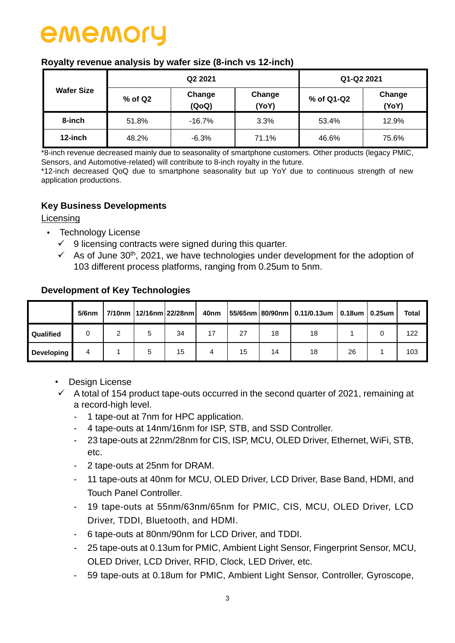#### **Royalty revenue analysis by wafer size (8-inch vs 12-inch)**

|                   |         | Q2 2021         | Q1-Q2 2021      |            |                 |  |
|-------------------|---------|-----------------|-----------------|------------|-----------------|--|
| <b>Wafer Size</b> | % of Q2 | Change<br>(QoQ) | Change<br>(YoY) | % of Q1-Q2 | Change<br>(YoY) |  |
| 8-inch            | 51.8%   | $-16.7%$        | 3.3%            | 53.4%      | 12.9%           |  |
| 12-inch           | 48.2%   | $-6.3%$         | 71.1%           | 46.6%      | 75.6%           |  |

\*8-inch revenue decreased mainly due to seasonality of smartphone customers. Other products (legacy PMIC, Sensors, and Automotive-related) will contribute to 8-inch royalty in the future.

\*12-inch decreased QoQ due to smartphone seasonality but up YoY due to continuous strength of new application productions.

#### **Key Business Developments**

#### **Licensing**

- Technology License
	- $\checkmark$  9 licensing contracts were signed during this quarter.
	- $\checkmark$  As of June 30<sup>th</sup>, 2021, we have technologies under development for the adoption of 103 different process platforms, ranging from 0.25um to 5nm.

#### **Development of Key Technologies**

|                   | $5/6$ nm |  | 7/10nm   12/16nm 22/28nm | 40nm |    |    | $ 55/65$ nm 80/90nm 0.11/0.13um 0.18um 0.25um |    | Total |
|-------------------|----------|--|--------------------------|------|----|----|-----------------------------------------------|----|-------|
| Qualified         |          |  | 34                       | 17   | 27 | 18 | 18                                            |    | 122   |
| <b>Developing</b> |          |  | 15                       | 4    | 15 | 14 | 18                                            | 26 | 103   |

- Design License
- $\checkmark$  A total of 154 product tape-outs occurred in the second quarter of 2021, remaining at a record-high level.
	- 1 tape-out at 7nm for HPC application.
	- 4 tape-outs at 14nm/16nm for ISP, STB, and SSD Controller.
	- 23 tape-outs at 22nm/28nm for CIS, ISP, MCU, OLED Driver, Ethernet, WiFi, STB, etc.
	- 2 tape-outs at 25nm for DRAM.
	- 11 tape-outs at 40nm for MCU, OLED Driver, LCD Driver, Base Band, HDMI, and Touch Panel Controller.
	- 19 tape-outs at 55nm/63nm/65nm for PMIC, CIS, MCU, OLED Driver, LCD Driver, TDDI, Bluetooth, and HDMI.
	- 6 tape-outs at 80nm/90nm for LCD Driver, and TDDI.
	- 25 tape-outs at 0.13um for PMIC, Ambient Light Sensor, Fingerprint Sensor, MCU, OLED Driver, LCD Driver, RFID, Clock, LED Driver, etc.
	- 59 tape-outs at 0.18um for PMIC, Ambient Light Sensor, Controller, Gyroscope,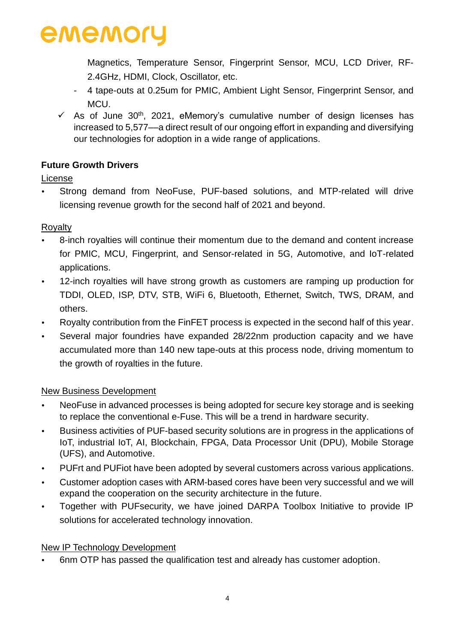Magnetics, Temperature Sensor, Fingerprint Sensor, MCU, LCD Driver, RF-2.4GHz, HDMI, Clock, Oscillator, etc.

- 4 tape-outs at 0.25um for PMIC, Ambient Light Sensor, Fingerprint Sensor, and MCU.
- $\checkmark$  As of June 30<sup>th</sup>, 2021, eMemory's cumulative number of design licenses has increased to 5,577––a direct result of our ongoing effort in expanding and diversifying our technologies for adoption in a wide range of applications.

### **Future Growth Drivers**

### License

 Strong demand from NeoFuse, PUF-based solutions, and MTP-related will drive licensing revenue growth for the second half of 2021 and beyond.

### **Royalty**

- 8-inch royalties will continue their momentum due to the demand and content increase for PMIC, MCU, Fingerprint, and Sensor-related in 5G, Automotive, and IoT-related applications.
- 12-inch royalties will have strong growth as customers are ramping up production for TDDI, OLED, ISP, DTV, STB, WiFi 6, Bluetooth, Ethernet, Switch, TWS, DRAM, and others.
- Royalty contribution from the FinFET process is expected in the second half of this year.
- Several major foundries have expanded 28/22nm production capacity and we have accumulated more than 140 new tape-outs at this process node, driving momentum to the growth of royalties in the future.

### New Business Development

- NeoFuse in advanced processes is being adopted for secure key storage and is seeking to replace the conventional e-Fuse. This will be a trend in hardware security.
- Business activities of PUF-based security solutions are in progress in the applications of IoT, industrial IoT, AI, Blockchain, FPGA, Data Processor Unit (DPU), Mobile Storage (UFS), and Automotive.
- PUFrt and PUFiot have been adopted by several customers across various applications.
- Customer adoption cases with ARM-based cores have been very successful and we will expand the cooperation on the security architecture in the future.
- Together with PUFsecurity, we have joined DARPA Toolbox Initiative to provide IP solutions for accelerated technology innovation.

### New IP Technology Development

6nm OTP has passed the qualification test and already has customer adoption.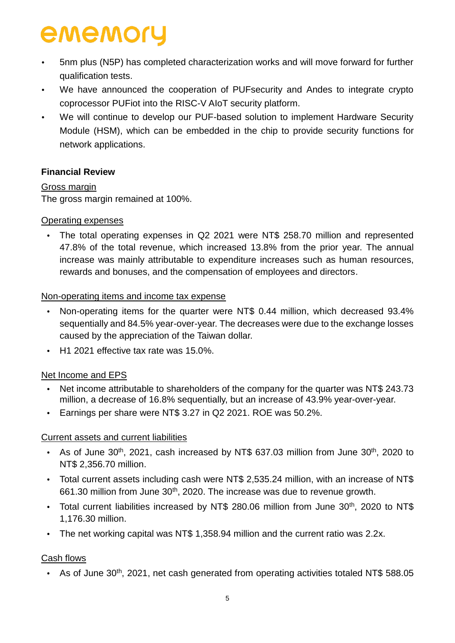- 5nm plus (N5P) has completed characterization works and will move forward for further qualification tests.
- We have announced the cooperation of PUFsecurity and Andes to integrate crypto coprocessor PUFiot into the RISC-V AIoT security platform.
- We will continue to develop our PUF-based solution to implement Hardware Security Module (HSM), which can be embedded in the chip to provide security functions for network applications.

#### **Financial Review**

#### Gross margin

The gross margin remained at 100%.

#### Operating expenses

• The total operating expenses in Q2 2021 were NT\$ 258.70 million and represented 47.8% of the total revenue, which increased 13.8% from the prior year. The annual increase was mainly attributable to expenditure increases such as human resources, rewards and bonuses, and the compensation of employees and directors.

#### Non-operating items and income tax expense

- Non-operating items for the quarter were NT\$ 0.44 million, which decreased 93.4% sequentially and 84.5% year-over-year. The decreases were due to the exchange losses caused by the appreciation of the Taiwan dollar.
- H1 2021 effective tax rate was 15.0%.

### Net Income and EPS

- Net income attributable to shareholders of the company for the quarter was NT\$ 243.73 million, a decrease of 16.8% sequentially, but an increase of 43.9% year-over-year.
- Earnings per share were NT\$ 3.27 in Q2 2021. ROE was 50.2%.

#### Current assets and current liabilities

- As of June  $30<sup>th</sup>$ , 2021, cash increased by NT\$ 637.03 million from June  $30<sup>th</sup>$ , 2020 to NT\$ 2,356.70 million.
- Total current assets including cash were NT\$ 2,535.24 million, with an increase of NT\$ 661.30 million from June 30<sup>th</sup>, 2020. The increase was due to revenue growth.
- Total current liabilities increased by NT\$ 280.06 million from June  $30<sup>th</sup>$ , 2020 to NT\$ 1,176.30 million.
- The net working capital was NT\$ 1,358.94 million and the current ratio was 2.2x.

### Cash flows

• As of June 30<sup>th</sup>, 2021, net cash generated from operating activities totaled NT\$ 588.05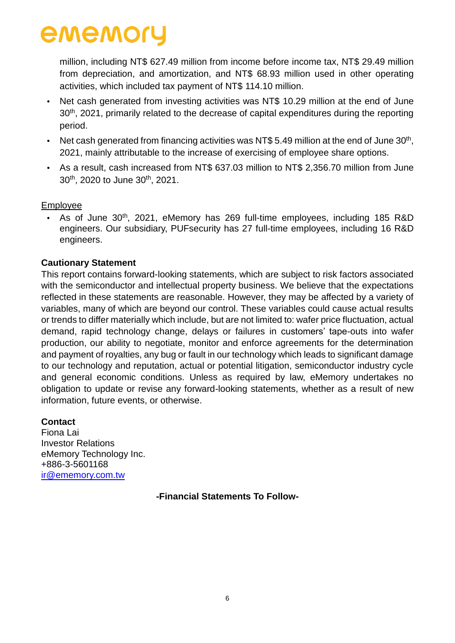million, including NT\$ 627.49 million from income before income tax, NT\$ 29.49 million from depreciation, and amortization, and NT\$ 68.93 million used in other operating activities, which included tax payment of NT\$ 114.10 million.

- Net cash generated from investing activities was NT\$ 10.29 million at the end of June 30<sup>th</sup>, 2021, primarily related to the decrease of capital expenditures during the reporting period.
- Net cash generated from financing activities was NT\$ 5.49 million at the end of June  $30<sup>th</sup>$ , 2021, mainly attributable to the increase of exercising of employee share options.
- As a result, cash increased from NT\$ 637.03 million to NT\$ 2,356.70 million from June 30<sup>th</sup>, 2020 to June 30<sup>th</sup>, 2021.

#### Employee

• As of June 30<sup>th</sup>, 2021, eMemory has 269 full-time employees, including 185 R&D engineers. Our subsidiary, PUFsecurity has 27 full-time employees, including 16 R&D engineers.

#### **Cautionary Statement**

This report contains forward-looking statements, which are subject to risk factors associated with the semiconductor and intellectual property business. We believe that the expectations reflected in these statements are reasonable. However, they may be affected by a variety of variables, many of which are beyond our control. These variables could cause actual results or trends to differ materially which include, but are not limited to: wafer price fluctuation, actual demand, rapid technology change, delays or failures in customers' tape-outs into wafer production, our ability to negotiate, monitor and enforce agreements for the determination and payment of royalties, any bug or fault in our technology which leads to significant damage to our technology and reputation, actual or potential litigation, semiconductor industry cycle and general economic conditions. Unless as required by law, eMemory undertakes no obligation to update or revise any forward-looking statements, whether as a result of new information, future events, or otherwise.

#### **Contact**

Fiona Lai Investor Relations eMemory Technology Inc. +886-3-5601168 [ir@ememory.com.tw](mailto:ir@ememory.com.tw)

**-Financial Statements To Follow-**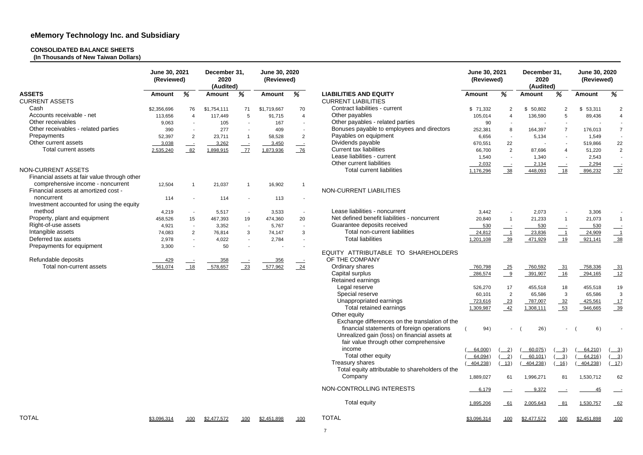## **CONSOLIDATED BALANCE SHEETS**

**(In Thousands of New Taiwan Dollars)**

|                                              | June 30, 2021<br>(Reviewed) |                          | December 31,<br>2020<br>(Audited) |                          | June 30, 2020<br>(Reviewed) |                          |                                                  |               | June 30, 2021<br>(Reviewed)               |                          | December 31,<br>2020<br>(Audited) |                    | June 30, 2020<br>(Reviewed) |  |
|----------------------------------------------|-----------------------------|--------------------------|-----------------------------------|--------------------------|-----------------------------|--------------------------|--------------------------------------------------|---------------|-------------------------------------------|--------------------------|-----------------------------------|--------------------|-----------------------------|--|
| <b>ASSETS</b>                                | <b>Amount</b>               | %                        | <b>Amount</b>                     | %                        | <b>Amount</b>               | %                        | <b>LIABILITIES AND EQUITY</b>                    | <b>Amount</b> | %                                         | <b>Amount</b>            | %                                 | <b>Amount</b>      | %                           |  |
| <b>CURRENT ASSETS</b>                        |                             |                          |                                   |                          |                             |                          | <b>CURRENT LIABILITIES</b>                       |               |                                           |                          |                                   |                    |                             |  |
| Cash                                         | \$2,356,696                 | 76                       | \$1,754,111                       | 71                       | \$1,719,667                 | 70                       | Contract liabilities - current                   | \$71,332      | $\overline{2}$                            | \$50,802                 | 2                                 | 53,311<br>\$.      | $\overline{2}$              |  |
| Accounts receivable - net                    | 113,656                     | $\overline{4}$           | 117,449                           | 5                        | 91,715                      | $\overline{4}$           | Other payables                                   | 105,014       | $\boldsymbol{\Lambda}$                    | 136,590                  | 5                                 | 89,436             |                             |  |
| Other receivables                            | 9,063                       | $\overline{\phantom{a}}$ | 105                               | $\overline{\phantom{a}}$ | 167                         | $\sim$                   | Other payables - related parties                 | 90            |                                           | $\overline{\phantom{a}}$ |                                   |                    |                             |  |
| Other receivables - related parties          | 390                         | $\blacksquare$           | 277                               |                          | 409                         | $\sim$                   | Bonuses payable to employees and directors       | 252,381       | 8                                         | 164,397                  | 7                                 | 176,013            |                             |  |
| Prepayments                                  | 52,397                      | 2                        | 23,711                            | $\overline{1}$           | 58,528                      | $\overline{2}$           | Payables on equipment                            | 6,656         |                                           | 5,134                    |                                   | 1,549              |                             |  |
| Other current assets                         | $-3,038$                    |                          | 3,262                             |                          | 3,450                       |                          | Dividends payable                                | 670,551       | 22                                        | $\overline{\phantom{a}}$ |                                   | 519,866            | 22                          |  |
| Total current assets                         |                             | 82                       | 1,898,915                         | $\equiv$<br>Z            | 1,873,936                   | $\equiv$<br>76           | <b>Current tax liabilities</b>                   | 66,700        | $\overline{2}$                            | 87,696                   | 4                                 | 51,220             | $\overline{2}$              |  |
|                                              | 2,535,240                   |                          |                                   |                          |                             |                          | Lease liabilities - current                      |               |                                           |                          |                                   |                    |                             |  |
|                                              |                             |                          |                                   |                          |                             |                          | Other current liabilities                        | 1,540         | $\overline{a}$                            | 1,340                    |                                   | 2,543              |                             |  |
|                                              |                             |                          |                                   |                          |                             |                          |                                                  | 2,032         |                                           | 2,134                    |                                   | 2,294              |                             |  |
| NON-CURRENT ASSETS                           |                             |                          |                                   |                          |                             |                          | <b>Total current liabilities</b>                 | 1,176,296     | $\frac{38}{ }$                            | 448,093                  | 18                                | 896,232            | $\frac{37}{2}$              |  |
| Financial assets at fair value through other |                             |                          |                                   |                          |                             |                          |                                                  |               |                                           |                          |                                   |                    |                             |  |
| comprehensive income - noncurrent            | 12,504                      |                          | 21,037                            |                          | 16,902                      |                          |                                                  |               |                                           |                          |                                   |                    |                             |  |
| Financial assets at amortized cost -         |                             |                          |                                   |                          |                             |                          | NON-CURRENT LIABILITIES                          |               |                                           |                          |                                   |                    |                             |  |
| noncurrent                                   | 114                         |                          | 114                               |                          | 113                         | $\overline{\phantom{a}}$ |                                                  |               |                                           |                          |                                   |                    |                             |  |
| Investment accounted for using the equity    |                             |                          |                                   |                          |                             |                          |                                                  |               |                                           |                          |                                   |                    |                             |  |
| method                                       | 4,219                       |                          | 5,517                             | $\overline{\phantom{a}}$ | 3,533                       | $\sim$                   | Lease liabilities - noncurrent                   | 3,442         |                                           | 2,073                    |                                   | 3,306              |                             |  |
| Property, plant and equipment                | 458,526                     | 15                       | 467,393                           | 19                       | 474,360                     | 20                       | Net defined benefit liabilities - noncurrent     | 20,840        |                                           | 21,233                   |                                   | 21,073             | $\mathbf{1}$                |  |
| Right-of-use assets                          | 4,921                       | $\overline{\phantom{a}}$ | 3,352                             | $\sim$                   | 5,767                       | $\sim$                   | Guarantee deposits received                      | 530           |                                           | 530                      |                                   | 530                |                             |  |
| Intangible assets                            | 74,083                      | 2                        | 76,814                            | 3                        | 74,147                      | 3                        | Total non-current liabilities                    | 24,812        | $\overline{\phantom{0}}$ 1                | 23,836                   | $-1$                              | 24,909             |                             |  |
| Deferred tax assets                          | 2,978                       | $\sim$                   | 4,022                             | $\sim$                   | 2,784                       | $\sim$                   | <b>Total liabilities</b>                         | 1,201,108     | $\frac{39}{ }$                            | 471,929                  | 19                                | 921,141            | $\frac{38}{2}$              |  |
| Prepayments for equipment                    | 3,300                       |                          | 50                                |                          |                             |                          |                                                  |               |                                           |                          |                                   |                    |                             |  |
|                                              |                             |                          |                                   |                          |                             |                          | EQUITY ATTRIBUTABLE TO SHAREHOLDERS              |               |                                           |                          |                                   |                    |                             |  |
| Refundable deposits                          | 429                         |                          | 358                               |                          | 356                         |                          | OF THE COMPANY                                   |               |                                           |                          |                                   |                    |                             |  |
| Total non-current assets                     | 561,074                     | 18                       | 578,657                           | 23                       | 577,962                     | $-24$                    | Ordinary shares                                  | 760,798       | $-25$                                     | 760,592                  | $-31$                             | 758,336            | $\frac{31}{2}$              |  |
|                                              |                             |                          |                                   |                          |                             |                          | Capital surplus                                  | 286,574       | $\frac{9}{2}$                             | 391,907                  | 16                                | 294,165            | 12                          |  |
|                                              |                             |                          |                                   |                          |                             |                          | <b>Retained earnings</b>                         |               |                                           |                          |                                   |                    |                             |  |
|                                              |                             |                          |                                   |                          |                             |                          | Legal reserve                                    | 526,270       | 17                                        | 455,518                  | 18                                | 455,518            |                             |  |
|                                              |                             |                          |                                   |                          |                             |                          | Special reserve                                  |               |                                           |                          |                                   |                    | 19<br>3                     |  |
|                                              |                             |                          |                                   |                          |                             |                          | Unappropriated earnings                          | 60,101        | 2                                         | 65,586                   | $\mathbf{3}$                      | 65,586             |                             |  |
|                                              |                             |                          |                                   |                          |                             |                          |                                                  | 723,616       | 23                                        | 787,007                  | 32                                | 425,561            |                             |  |
|                                              |                             |                          |                                   |                          |                             |                          | Total retained earnings                          | 1,309,987     | 42                                        | 1,308,111                | $-53$                             | 946,665            | $\frac{39}{2}$              |  |
|                                              |                             |                          |                                   |                          |                             |                          | Other equity                                     |               |                                           |                          |                                   |                    |                             |  |
|                                              |                             |                          |                                   |                          |                             |                          | Exchange differences on the translation of the   |               |                                           |                          |                                   |                    |                             |  |
|                                              |                             |                          |                                   |                          |                             |                          | financial statements of foreign operations       | 94)           |                                           | 26)                      | $-$ (                             | 6)                 | $\overline{\phantom{a}}$    |  |
|                                              |                             |                          |                                   |                          |                             |                          | Unrealized gain (loss) on financial assets at    |               |                                           |                          |                                   |                    |                             |  |
|                                              |                             |                          |                                   |                          |                             |                          | fair value through other comprehensive           |               |                                           |                          |                                   |                    |                             |  |
|                                              |                             |                          |                                   |                          |                             |                          | income                                           | 64,000)       | $\frac{2}{2}$                             | 60,075)                  | $\frac{3}{2}$                     | 64,210)            | $\frac{3}{2}$               |  |
|                                              |                             |                          |                                   |                          |                             |                          | Total other equity                               | 64,094)       | $\left( \underline{\hspace{1cm}}2\right)$ | 60,101)                  | $\frac{3}{2}$                     | 64,216)            | $\frac{3}{2}$               |  |
|                                              |                             |                          |                                   |                          |                             |                          | Treasury shares                                  | 404,238)      | $\boxed{13}$                              | 404,238)                 | 16)                               | 404,238)           | 17)                         |  |
|                                              |                             |                          |                                   |                          |                             |                          | Total equity attributable to shareholders of the |               |                                           |                          |                                   |                    |                             |  |
|                                              |                             |                          |                                   |                          |                             |                          | Company                                          | 1,889,027     | 61                                        | 1,996,271                | 81                                | 1,530,712          | 62                          |  |
|                                              |                             |                          |                                   |                          |                             |                          | NON-CONTROLLING INTERESTS                        | 6,179         |                                           | 9,372                    |                                   | <u>45</u>          | $\equiv$                    |  |
|                                              |                             |                          |                                   |                          |                             |                          | <b>Total equity</b>                              | 1,895,206     | $-61$                                     | 2,005,643                | $-81$                             | 1,530,757          | $-62$                       |  |
| <b>TOTAL</b>                                 | \$3,096,314                 | 100                      | \$2,477,572                       | 100                      | <u>\$2,451,898</u>          | 100                      | <b>TOTAL</b>                                     | \$3,096,314   | 100                                       | \$2,477,572              | 100                               | <u>\$2,451,898</u> | <u>100</u>                  |  |
|                                              |                             |                          |                                   |                          |                             |                          | $\overline{7}$                                   |               |                                           |                          |                                   |                    |                             |  |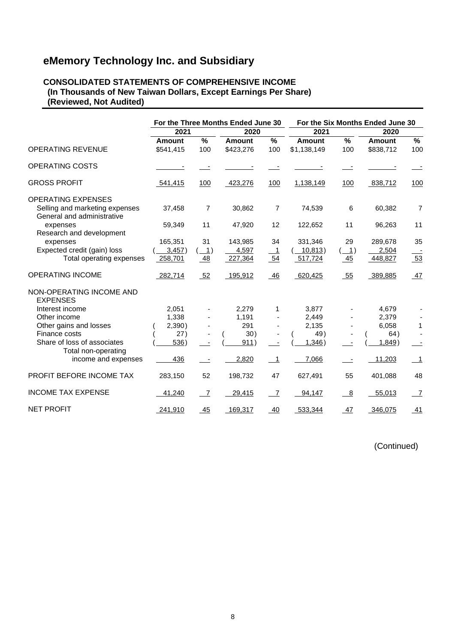#### **CONSOLIDATED STATEMENTS OF COMPREHENSIVE INCOME (In Thousands of New Taiwan Dollars, Except Earnings Per Share) (Reviewed, Not Audited)**

|                                                                                           |                            |                                                 | For the Three Months Ended June 30 |                      |                              |          | For the Six Months Ended June 30 |                          |  |
|-------------------------------------------------------------------------------------------|----------------------------|-------------------------------------------------|------------------------------------|----------------------|------------------------------|----------|----------------------------------|--------------------------|--|
|                                                                                           | 2021                       |                                                 | 2020                               |                      | 2021                         |          | 2020                             |                          |  |
| <b>OPERATING REVENUE</b>                                                                  | <b>Amount</b><br>\$541,415 | %<br>100                                        | <b>Amount</b><br>\$423,276         | $\frac{9}{6}$<br>100 | <b>Amount</b><br>\$1,138,149 | %<br>100 | <b>Amount</b><br>\$838,712       | $\%$<br>100              |  |
| OPERATING COSTS                                                                           |                            |                                                 |                                    |                      |                              |          |                                  |                          |  |
| <b>GROSS PROFIT</b>                                                                       | 541,415                    | 100                                             | 423,276                            | 100                  | 1,138,149                    | 100      | 838,712                          | 100                      |  |
| <b>OPERATING EXPENSES</b><br>Selling and marketing expenses<br>General and administrative | 37,458                     | $\overline{7}$                                  | 30,862                             | 7                    | 74,539                       | 6        | 60,382                           | $\overline{7}$           |  |
| expenses<br>Research and development                                                      | 59,349                     | 11                                              | 47,920                             | 12                   | 122,652                      | 11       | 96,263                           | 11                       |  |
| expenses                                                                                  | 165,351                    | 31                                              | 143,985                            | 34                   | 331,346                      | 29       | 289,678                          | 35                       |  |
| Expected credit (gain) loss                                                               | 3,457)                     | $\left( \begin{array}{c} 1 \end{array} \right)$ | 4,597                              | $\overline{1}$       | 10,813)                      | (1)      | 2,504                            |                          |  |
| Total operating expenses                                                                  | 258,701                    | 48                                              | 227,364                            | 54                   | 517,724                      | 45       | 448,827                          | 53                       |  |
| <b>OPERATING INCOME</b>                                                                   | 282,714                    | 52                                              | 195,912                            | 46                   | 620,425                      | 55       | 389,885                          | 47                       |  |
| NON-OPERATING INCOME AND<br><b>EXPENSES</b>                                               |                            |                                                 |                                    |                      |                              |          |                                  |                          |  |
| Interest income                                                                           | 2,051                      |                                                 | 2,279                              | 1                    | 3,877                        |          | 4,679                            |                          |  |
| Other income                                                                              | 1,338                      |                                                 | 1,191                              |                      | 2,449                        |          | 2,379                            |                          |  |
| Other gains and losses                                                                    | 2,390)                     |                                                 | 291                                |                      | 2,135                        |          | 6,058                            | $\mathbf{1}$             |  |
| Finance costs                                                                             | 27)                        |                                                 | 30)                                |                      | 49)                          |          | 64)                              |                          |  |
| Share of loss of associates                                                               | 536)                       |                                                 | 911)                               |                      | 1,346)                       |          | 1,849                            |                          |  |
| Total non-operating                                                                       |                            |                                                 |                                    |                      |                              |          |                                  |                          |  |
| income and expenses                                                                       | 436                        |                                                 | 2,820                              | - 1                  | 7,066                        |          | 11,203                           | $\overline{\phantom{1}}$ |  |
| PROFIT BEFORE INCOME TAX                                                                  | 283,150                    | 52                                              | 198,732                            | 47                   | 627,491                      | 55       | 401,088                          | 48                       |  |
| <b>INCOME TAX EXPENSE</b>                                                                 | 41,240                     | $\overline{7}$                                  | 29,415                             | $\overline{7}$       | 94,147                       | 8        | 55,013                           | $\overline{7}$           |  |
| <b>NET PROFIT</b>                                                                         | 241,910                    | 45                                              | 169,317                            | 40                   | 533,344                      | 47       | 346,075                          | 41                       |  |

(Continued)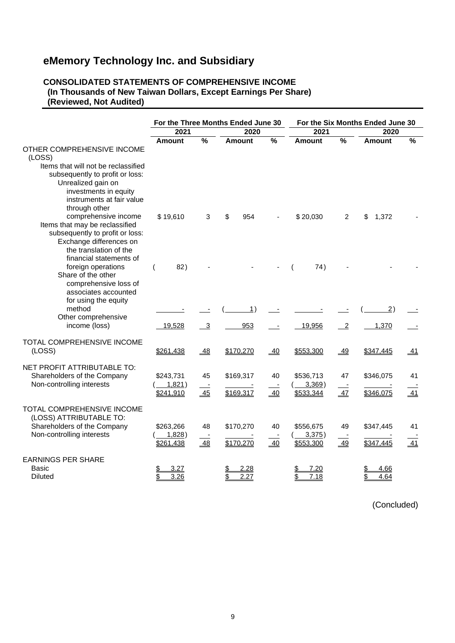#### **CONSOLIDATED STATEMENTS OF COMPREHENSIVE INCOME (In Thousands of New Taiwan Dollars, Except Earnings Per Share) (Reviewed, Not Audited)**

|                                                                                                                                                                           |                                  |                 | For the Three Months Ended June 30 |               | For the Six Months Ended June 30    |                |                        |               |  |  |
|---------------------------------------------------------------------------------------------------------------------------------------------------------------------------|----------------------------------|-----------------|------------------------------------|---------------|-------------------------------------|----------------|------------------------|---------------|--|--|
|                                                                                                                                                                           | 2021                             |                 | 2020                               |               | 2021                                |                | 2020                   |               |  |  |
| OTHER COMPREHENSIVE INCOME<br>(LOSS)                                                                                                                                      | <b>Amount</b>                    | $\frac{0}{0}$   | <b>Amount</b>                      | $\frac{0}{0}$ | <b>Amount</b>                       | $\frac{0}{0}$  | Amount                 | $\frac{0}{0}$ |  |  |
| Items that will not be reclassified<br>subsequently to profit or loss:<br>Unrealized gain on<br>investments in equity<br>instruments at fair value<br>through other       |                                  |                 |                                    |               |                                     |                |                        |               |  |  |
| comprehensive income<br>Items that may be reclassified<br>subsequently to profit or loss:<br>Exchange differences on<br>the translation of the<br>financial statements of | \$19,610                         | 3               | \$<br>954                          |               | \$20,030                            | 2              | 1,372<br>\$            |               |  |  |
| foreign operations<br>Share of the other<br>comprehensive loss of<br>associates accounted<br>for using the equity                                                         | 82)                              |                 |                                    |               | 74)                                 |                |                        |               |  |  |
| method<br>Other comprehensive                                                                                                                                             |                                  |                 | 1)                                 |               |                                     |                | $\overline{2}$ )       |               |  |  |
| income (loss)                                                                                                                                                             | 19,528                           | - 3             | 953                                |               | 19,956                              | $\overline{2}$ | 1,370                  |               |  |  |
| TOTAL COMPREHENSIVE INCOME<br>(LOSS)                                                                                                                                      | \$261,438                        | $-48$           | \$170,270                          | 40            | \$553,300                           | $-49$          | \$347,445              | <u>_41</u>    |  |  |
| NET PROFIT ATTRIBUTABLE TO:<br>Shareholders of the Company<br>Non-controlling interests                                                                                   | \$243,731<br>1,821)<br>\$241,910 | 45<br>45        | \$169,317<br>\$169,317             | 40<br>40      | \$536,713<br>$3,369$ )<br>\$533,344 | 47<br>47       | \$346,075<br>\$346,075 | 41<br>41      |  |  |
| <b>TOTAL COMPREHENSIVE INCOME</b><br>(LOSS) ATTRIBUTABLE TO:<br>Shareholders of the Company<br>Non-controlling interests                                                  | \$263,266<br>1,828)<br>\$261,438 | 48<br><u>48</u> | \$170,270<br>\$170,270             | 40<br>40      | \$556,675<br>3,375)<br>\$553,300    | 49<br>49       | \$347,445<br>\$347,445 | 41<br>41      |  |  |
| <b>EARNINGS PER SHARE</b><br>Basic<br><b>Diluted</b>                                                                                                                      | 3.27<br>3.26                     |                 | 2.28<br>\$<br>2.27                 |               | 7.20<br>\$<br>7.18                  |                | 4.66<br>4.64           |               |  |  |

(Concluded)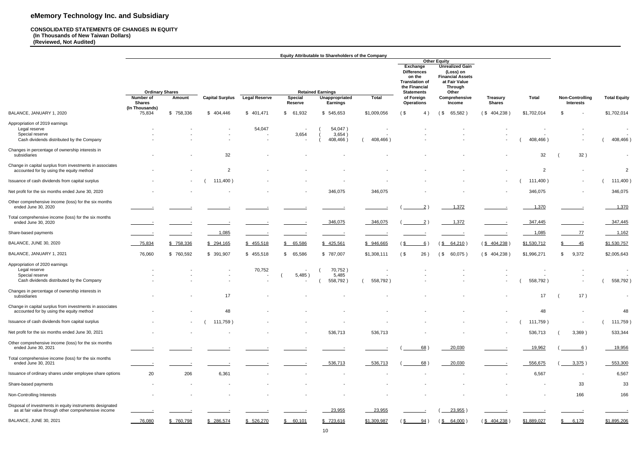#### **CONSOLIDATED STATEMENTS OF CHANGES IN EQUITY (In Thousands of New Taiwan Dollars) (Reviewed, Not Audited)**

|                                                                                                                 |                                                      |                |                          |                      |                                                               | <b>Equity Attributable to Shareholders of the Company</b>     |                                                                  |                                                                                                                                            |                                                                                                                                                                     |                                  |                |                                            |                     |
|-----------------------------------------------------------------------------------------------------------------|------------------------------------------------------|----------------|--------------------------|----------------------|---------------------------------------------------------------|---------------------------------------------------------------|------------------------------------------------------------------|--------------------------------------------------------------------------------------------------------------------------------------------|---------------------------------------------------------------------------------------------------------------------------------------------------------------------|----------------------------------|----------------|--------------------------------------------|---------------------|
|                                                                                                                 | <b>Ordinary Shares</b><br>Number of<br><b>Shares</b> | Amount         | <b>Capital Surplus</b>   | <b>Legal Reserve</b> | Special<br><b>Reserve</b>                                     | <b>Retained Earnings</b><br>Unappropriated<br><b>Earnings</b> | Total                                                            | Exchange<br><b>Differences</b><br>on the<br><b>Translation of</b><br>the Financial<br><b>Statements</b><br>of Foreign<br><b>Operations</b> | <b>Other Equity</b><br><b>Unrealized Gain</b><br>(Loss) on<br><b>Financial Assets</b><br>at Fair Value<br><b>Through</b><br>Other<br>Comprehensive<br><b>Income</b> | <b>Treasury</b><br><b>Shares</b> | <b>Total</b>   | <b>Non-Controlling</b><br><b>Interests</b> | <b>Total Equity</b> |
| BALANCE, JANUARY 1, 2020                                                                                        | (In Thousands)<br>75,834                             | \$758,336      | \$404,446                | \$401,471            | 61,932<br>\$                                                  | \$545,653                                                     | \$1,009,056                                                      | $($ \$<br>4)                                                                                                                               | 65,582<br>(\$                                                                                                                                                       | (\$404,238)                      | \$1,702,014    | \$                                         | \$1,702,014         |
| Appropriation of 2019 earnings<br>Legal reserve<br>Special reserve<br>Cash dividends distributed by the Company |                                                      |                |                          | 54,047               | $\overline{\phantom{a}}$<br>3,654<br>$\overline{\phantom{a}}$ | 54,047)<br>3,654)<br>408,466)                                 | $\overline{\phantom{a}}$<br>$\overline{\phantom{a}}$<br>408,466) |                                                                                                                                            |                                                                                                                                                                     |                                  | 408,466)       |                                            |                     |
| Changes in percentage of ownership interests in<br>subsidiaries                                                 |                                                      |                | 32                       |                      |                                                               |                                                               |                                                                  |                                                                                                                                            |                                                                                                                                                                     |                                  | 32             | 32)                                        | 408,466)            |
| Change in capital surplus from investments in associates<br>accounted for by using the equity method            |                                                      |                | $\overline{2}$           |                      |                                                               |                                                               |                                                                  |                                                                                                                                            |                                                                                                                                                                     |                                  | 2              |                                            | $\overline{2}$      |
| Issuance of cash dividends from capital surplus                                                                 |                                                      | $\sim$         | 111,400)                 |                      |                                                               |                                                               |                                                                  |                                                                                                                                            |                                                                                                                                                                     |                                  | 111,400)       |                                            | 111,400)            |
| Net profit for the six months ended June 30, 2020                                                               |                                                      |                |                          |                      | $\overline{\phantom{a}}$                                      | 346,075                                                       | 346,075                                                          |                                                                                                                                            |                                                                                                                                                                     |                                  | 346,075        | $\overline{\phantom{a}}$                   | 346,075             |
| Other comprehensive income (loss) for the six months<br>ended June 30, 2020                                     |                                                      |                |                          |                      |                                                               |                                                               |                                                                  |                                                                                                                                            | 1,372                                                                                                                                                               |                                  | 1,370          |                                            | 1,370               |
| Total comprehensive income (loss) for the six months<br>ended June 30, 2020                                     |                                                      |                |                          |                      |                                                               | 346,075                                                       | 346,075                                                          | $\overline{2}$                                                                                                                             | 1,372                                                                                                                                                               |                                  | 347,445        |                                            | 347,445             |
| Share-based payments                                                                                            |                                                      |                | 1,085                    |                      |                                                               |                                                               |                                                                  |                                                                                                                                            |                                                                                                                                                                     |                                  | 1,085          | $-77$                                      | 1,162               |
| BALANCE, JUNE 30, 2020                                                                                          | 75,834                                               | \$758,336      | \$ 294,165               | \$ 455,518           | \$65,586                                                      | \$ 425,561                                                    | \$946,665                                                        | 6)                                                                                                                                         | ( <u>\$</u><br>64,210                                                                                                                                               | $(\frac{$404,238}{)$             | \$1,530,712    | \$_<br>$-45$                               | \$1,530,757         |
| BALANCE, JANUARY 1, 2021                                                                                        | 76,060                                               | \$760,592      | \$ 391,907               | \$455,518            | \$65,586                                                      | \$787,007                                                     | \$1,308,111                                                      | 26)<br>$($ \$                                                                                                                              | $($ \$<br>60,075)                                                                                                                                                   | (\$404,238)                      | \$1,996,271    | 9,372<br>\$                                | \$2,005,643         |
| Appropriation of 2020 earnings<br>Legal reserve<br>Special reserve<br>Cash dividends distributed by the Company |                                                      |                |                          | 70,752               | $\overline{\phantom{a}}$<br>5,485)                            | 70,752)<br>5,485<br>558,792)                                  | 558,792)                                                         |                                                                                                                                            |                                                                                                                                                                     |                                  | 558,792)       |                                            | 558,792)            |
| Changes in percentage of ownership interests in<br>subsidiaries                                                 |                                                      |                | 17                       | $\sim$ $-$           | $\sim$                                                        |                                                               |                                                                  |                                                                                                                                            | $\sim$                                                                                                                                                              |                                  | 17             | 17)                                        |                     |
| Change in capital surplus from investments in associates<br>accounted for by using the equity method            | $\blacksquare$                                       |                | 48                       |                      |                                                               |                                                               |                                                                  |                                                                                                                                            |                                                                                                                                                                     |                                  | 48             |                                            | 48                  |
| Issuance of cash dividends from capital surplus                                                                 |                                                      | $\sim$         | 111,759)                 |                      |                                                               |                                                               |                                                                  |                                                                                                                                            |                                                                                                                                                                     |                                  | 111,759)       | $\sim$                                     | 111,759)            |
| Net profit for the six months ended June 30, 2021                                                               |                                                      | $\blacksquare$ | $\overline{\phantom{0}}$ | $\blacksquare$       | $\overline{\phantom{a}}$                                      | 536,713                                                       | 536,713                                                          |                                                                                                                                            |                                                                                                                                                                     | $\sim$                           | 536,713        | 3,369)                                     | 533,344             |
| Other comprehensive income (loss) for the six months<br>ended June 30, 2021                                     |                                                      |                |                          |                      |                                                               |                                                               |                                                                  | 68)                                                                                                                                        | 20,030                                                                                                                                                              |                                  | 19,962         | <u>6</u> )                                 | 19,956              |
| Total comprehensive income (loss) for the six months<br>ended June 30, 2021                                     |                                                      |                |                          |                      |                                                               | 536,713                                                       | 536,713                                                          | 68)                                                                                                                                        | 20,030                                                                                                                                                              |                                  | 556,675        | 3,375)                                     | 553,300             |
| Issuance of ordinary shares under employee share options                                                        | 20                                                   | 206            | 6,361                    |                      |                                                               |                                                               |                                                                  |                                                                                                                                            |                                                                                                                                                                     |                                  | 6,567          | $\overline{\phantom{a}}$                   | 6,567               |
| Share-based payments                                                                                            | $\overline{\phantom{a}}$                             |                |                          |                      |                                                               |                                                               |                                                                  |                                                                                                                                            |                                                                                                                                                                     |                                  | $\blacksquare$ | 33                                         | 33                  |
| Non-Controlling Interests                                                                                       |                                                      |                |                          |                      |                                                               |                                                               | $\overline{\phantom{a}}$                                         |                                                                                                                                            |                                                                                                                                                                     |                                  | $\blacksquare$ | 166                                        | 166                 |
| Disposal of investments in equity instruments designated<br>as at fair value through other comprehensive income |                                                      |                |                          |                      |                                                               | 23,955                                                        | 23,955                                                           |                                                                                                                                            | 23,955)                                                                                                                                                             |                                  |                |                                            |                     |
| BALANCE, JUNE 30, 2021                                                                                          | $-76,080$                                            | \$760,798      | \$ 286,574               | \$ 526,270           | \$60,101                                                      | \$723,616                                                     | \$1,309,987                                                      | 94)<br>(SC                                                                                                                                 | $(\frac{$}{8} 64,000)$                                                                                                                                              | $(\underline{$}404,238)$         | \$1,889,027    | \$ 6,179                                   | \$1,895,206         |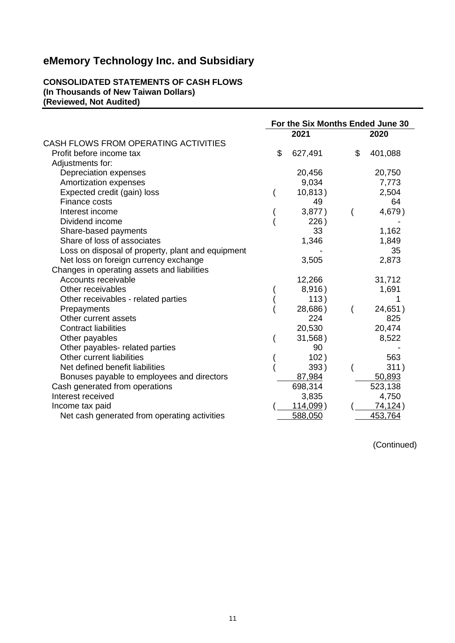#### **CONSOLIDATED STATEMENTS OF CASH FLOWS (In Thousands of New Taiwan Dollars) (Reviewed, Not Audited)**

|                                                   | For the Six Months Ended June 30 |               |
|---------------------------------------------------|----------------------------------|---------------|
|                                                   | 2021                             | 2020          |
| CASH FLOWS FROM OPERATING ACTIVITIES              |                                  |               |
| Profit before income tax                          | \$<br>627,491                    | \$<br>401,088 |
| Adjustments for:                                  |                                  |               |
| Depreciation expenses                             | 20,456                           | 20,750        |
| Amortization expenses                             | 9,034                            | 7,773         |
| Expected credit (gain) loss                       | 10,813)                          | 2,504         |
| Finance costs                                     | 49                               | 64            |
| Interest income                                   | 3,877)                           | 4,679)        |
| Dividend income                                   | 226)                             |               |
| Share-based payments                              | 33                               | 1,162         |
| Share of loss of associates                       | 1,346                            | 1,849         |
| Loss on disposal of property, plant and equipment |                                  | 35            |
| Net loss on foreign currency exchange             | 3,505                            | 2,873         |
| Changes in operating assets and liabilities       |                                  |               |
| Accounts receivable                               | 12,266                           | 31,712        |
| Other receivables                                 | 8,916)                           | 1,691         |
| Other receivables - related parties               | 113)                             |               |
| Prepayments                                       | 28,686)                          | 24,651)       |
| Other current assets                              | 224                              | 825           |
| <b>Contract liabilities</b>                       | 20,530                           | 20,474        |
| Other payables                                    | 31,568)                          | 8,522         |
| Other payables- related parties                   | 90                               |               |
| Other current liabilities                         | 102)                             | 563           |
| Net defined benefit liabilities                   | 393)                             | 311)          |
| Bonuses payable to employees and directors        | 87,984                           | 50,893        |
| Cash generated from operations                    | 698,314                          | 523,138       |
| Interest received                                 | 3,835                            | 4,750         |
| Income tax paid                                   | $114,099$ )                      | 74,124)       |
| Net cash generated from operating activities      | 588,050                          | 453,764       |

(Continued)